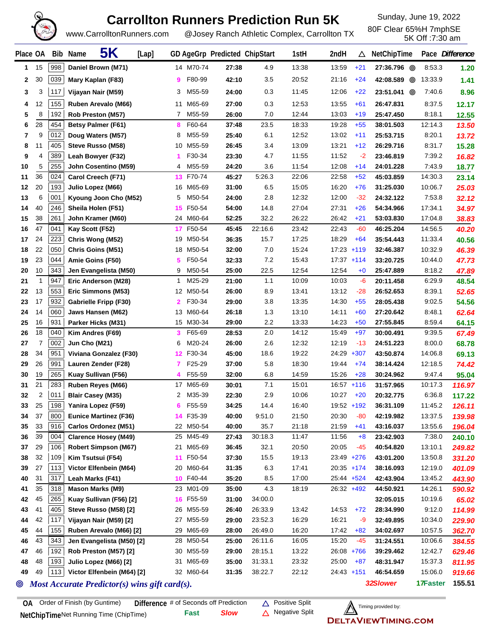

## **Carrollton Runners Prediction Run 5K** Sunday, June 19, 2022

www.CarrolltonRunners.com @Josey Ranch Athletic Complex, Carrollton TX

5K Off :7:30 am

| 998<br>15<br>14 M70-74<br>27:38<br>4.9<br>13:38<br>13:59<br>$+21$<br>27:36.796 @<br>8:53.3<br>Daniel Brown (M71)<br>1.20<br>1.<br>039<br>30<br>42:10<br>20:52<br>Mary Kaplan (F83)<br>F80-99<br>3.5<br>21:16<br>$+24$<br>42:08.589<br>13:33.9<br>2<br>9<br>◉<br>1.41<br>3<br>117<br>M55-59<br>24:00<br>0.3<br>11:45<br>12:06<br>$+22$<br>7:40.6<br>3<br>Vijayan Nair (M59)<br>3<br>23:51.041 <sup>◎</sup><br>8.96<br>155<br>12<br>12:53<br>8:37.5<br>M65-69<br>27:00<br>0.3<br>13:55<br>+61<br>26:47.831<br>4<br>Ruben Arevalo (M66)<br>11<br>12.17<br>8<br>192<br>7.0<br>5<br>7<br>M55-59<br>12:44<br>13:03<br>$+19$<br>8:18.1<br>Rob Preston (M57)<br>26:00<br>25:47.450<br>12.55<br>28<br>454<br>F60-64<br>18:33<br>$+55$<br>6<br>37:48<br>23.5<br>19:28<br>12:14.3<br><b>Betsy Palmer (F61)</b><br>38:01.503<br>13.50<br>8<br>7<br>9<br>012<br>M55-59<br>25:40<br>6.1<br>12:52<br>13:02<br>8:20.1<br>Doug Waters (M57)<br>$+11$<br>25:53.715<br>13.72<br>8<br>405<br>13:09<br>13:21<br>10 M55-59<br>3.4<br>$+12$<br>8:31.7<br>8<br>11<br>Steve Russo (M58)<br>26:45<br>26:29.716<br>15.28<br>9<br>389<br>F30-34<br>23:30<br>4.7<br>11:55<br>11:52<br>$-2$<br>23:46.819<br>7:39.2<br>4<br>Leah Bowyer (F32)<br>16.82<br>255<br>5<br>7:43.9<br>10<br>M55-59<br>3.6<br>11:54<br>12:08<br>+14<br>John Cosentino (M59)<br>4<br>24:20<br>24:01.228<br>18.77<br>36<br>11<br>024<br>45:27<br>5:26.3<br>22:58<br>$+52$<br>14:30.3<br>Carol Creech (F71)<br>13<br>F70-74<br>22:06<br>45:03.859<br>23.14<br>193<br>20<br>12<br>16 M65-69<br>31:00<br>6.5<br>15:05<br>16:20<br>$+76$<br>10:06.7<br>Julio Lopez (M66)<br>31:25.030<br>25.03<br>6<br>001<br>2.8<br>12:32<br>$-32$<br>13<br>Kyoung Joon Cho (M52)<br>M50-54<br>24:00<br>12:00<br>24:32.122<br>7:53.8<br>32.12<br>5<br>246<br>40<br>27:04<br>27:31<br>$+26$<br>17:34.1<br>14<br>15 F50-54<br>14.8<br>34.97<br>Sheila Holen (F51)<br>54:00<br>54:34.966<br>15<br>38<br>261<br>John Kramer (M60)<br>24 M60-64<br>52:25<br>32.2<br>26:22<br>26:42<br>$+21$<br>53:03.830<br>17:04.8<br>38.83<br>47<br>041<br>F50-54<br>16<br>22:16.6<br>23:42<br>22:43<br>-60<br>14:56.5<br>Kay Scott (F52)<br>17<br>45:45<br>46:25.204<br>40.20<br>223<br>24<br>36:35<br>17<br>19 M50-54<br>17:25<br>18:29<br>$+64$<br>11:33.4<br>Chris Wong (M52)<br>15.7<br>35:54.443<br>40.56<br>22<br>050<br>18<br>18 M50-54<br>32:00<br>7.0<br>15:24<br>17:23<br>$+119$<br>10:32.9<br>Chris Goins (M51)<br>32:46.387<br>46.39<br>23<br>044<br>19<br>F50-54<br>32:33<br>7.2<br>$17:37 + 114$<br>Amie Goins (F50)<br>15:43<br>33:20.725<br>10:44.0<br>5.<br>47.73<br>10<br>343<br>22.5<br>12:54<br>M50-54<br>25:00<br>12:54<br>$+0$<br>8:18.2<br>20<br>Jen Evangelista (M50)<br>9<br>25:47.889<br>47.89<br>$\mathbf{1}$<br>947<br>21<br>M25-29<br>21:00<br>1.1<br>10:09<br>20:11.458<br>6:29.9<br>Eric Anderson (M28)<br>1<br>10:03<br>-6<br>48.54<br>13<br>553<br>8.9<br>8:39.1<br>22<br>12 M50-54<br>13:41<br>13:12<br>-28<br>26:52.653<br>Eric Simmons (M53)<br>26:00<br>52.65<br>932<br>23<br>17<br>3.8<br>14:30<br>$+55$<br>9:02.5<br>Gabrielle Fripp (F30)<br>$\mathbf{2}$<br>F30-34<br>29:00<br>13:35<br>28:05.438<br>54.56<br>060<br>14<br>1.3<br>8:48.1<br>24<br>13 M60-64<br>13:10<br>14:11<br>$+60$<br>Jaws Hansen (M62)<br>26:18<br>27:20.642<br>62.64<br>16<br>931<br>2.2<br>25<br>15 M30-34<br>29:00<br>13:33<br>14:23<br>$+50$<br>8:59.4<br>Parker Hicks (M31)<br>27:55.845<br>64.15<br>18<br>040<br>F65-69<br>26<br>28:53<br>2.0<br>14:12<br>15:49<br>$+97$<br>9:39.5<br>67.49<br>Kim Andres (F69)<br>30:00.491<br>3<br>7<br>002<br>M20-24<br>12:32<br>27<br>2.6<br>12:19<br>$-13$<br>8:00.0<br>Jun Cho (M21)<br>6<br>26:00<br>24:51.223<br>68.78<br>951<br>34<br>45:00<br>19:22<br>28<br>Viviana Gonzalez (F30)<br>F30-34<br>18.6<br>24:29<br>$+307$<br>43:50.874<br>14:06.8<br>12<br>69.13<br>26<br>991<br>5.8<br>18:30<br>12:18.5<br>F25-29<br>19:44<br>$+74$<br>29<br>Lauren Zender (F28)<br>7<br>37:00<br>38:14.424<br>74.42<br>265<br>19<br>14:59<br>$+28$<br>F55-59<br>32:00<br>6.8<br>15:26<br>9:47.4<br>30<br>Kuay Sullivan (F56)<br>30:24.962<br>95.04<br>4<br>283<br>31<br>21<br>17 M65-69<br>30:01<br>7.1<br>15:01<br>$+116$<br><b>Ruben Reyes (M66)</b><br>16:57<br>31:57.965<br>10:17.3<br>116.97<br>$\overline{\mathbf{c}}$<br>32<br>011<br>M35-39<br>22:30<br>2.9<br>$+20$<br>6:36.8<br><b>Blair Casey (M35)</b><br>10:06<br>10:27<br>20:32.775<br>2<br>117.22<br>25<br>198<br>33<br>F55-59<br>34:25<br>14.4<br>19:52 +192<br>11:45.2<br>6<br>16:40<br>36:31.109<br>Yanira Lopez (F59)<br>9:51.0<br>37<br>800<br>14 F35-39<br>40:00<br>21:50<br>20:30<br>-80<br>13:37.5<br>34<br><b>Eunice Martinez (F36)</b><br>42:19.982<br>139.98<br>33<br>916<br>22 M50-54<br>21:18<br>13:55.6<br>35<br>Carlos Ordonez (M51)<br>40:00<br>35.7<br>21:59<br>$+41$<br>43:16.037<br>196.04<br>39<br>004<br>25 M45-49<br>7:38.0<br>36<br><b>Clarence Hosey (M49)</b><br>27:43<br>30:18.3<br>11:47<br>11:56<br>$+8$<br>23:42.903<br>240.10<br>29<br>106<br>37<br><b>Robert Simpson (M67)</b><br>21 M65-69<br>32.1<br>20:50<br>20:05<br>-45<br>13:10.1<br>36:45<br>40:54.820<br>249.82<br>32<br>109<br>F50-54<br>37:30<br>15.5<br>19:13<br>23:49 +276<br>38<br>Kim Tsutsui (F54)<br>43:01.200<br>13:50.8<br>331.20<br>11<br>27<br>113<br>6.3<br>17:41<br>$20:35$ +174<br>Victor Elfenbein (M64)<br>20 M60-64<br>31:35<br>12:19.0<br>39<br>38:16.093<br>401.09<br>31<br>317<br>10 F40-44<br>35:20<br>17:00<br>40<br>Leah Marks (F41)<br>8.5<br>25:44 +524<br>42:43.904<br>13:45.2<br>443.90<br>35<br>318<br>23 M01-09<br>4.3<br>18:19<br>26:32 +492<br>14:26.1<br>41<br><b>Mason Marks (M9)</b><br>35:00<br>44:50.921<br>590.92<br>45<br>265<br>10:19.6<br>42<br>Kuay Sullivan (F56) [2]<br>16<br>F55-59<br>31:00<br>34:00.0<br>32:05.015<br>65.02<br>41<br>405<br>13:42<br>14:53<br>9:12.0<br>26 M55-59<br>26:33.9<br>$+72$<br>28:34.990<br>43<br>Steve Russo (M58) [2]<br>26:40<br>114.99<br>44<br>42<br>117<br>27 M55-59<br>23:52.3<br>16:29<br>Vijayan Nair (M59) [2]<br>29:00<br>16:21<br>-9<br>32:49.895<br>10:34.0<br>229.90<br>155<br>44<br>29 M65-69<br>26:49.0<br>16:20<br>45<br>28:00<br>17:42<br>$+82$<br>10:57.5<br>Ruben Arevalo (M66) [2]<br>34:02.697<br>362.70<br>43<br>343<br>Jen Evangelista (M50) [2]<br>28 M50-54<br>25:00<br>26:11.6<br>10:06.6<br>46<br>16:05<br>15:20<br>-45<br>31:24.551<br>384.55<br>46<br>192<br>30 M55-59<br>29:00<br>28:15.1<br>13:22<br>26:08<br>$+766$<br>39:29.462<br>12:42.7<br>47<br>Rob Preston (M57) [2]<br>629.46<br>48<br>193<br>31 M65-69<br>35:00<br>31:33.1<br>23:32<br>25:00<br>15:37.3<br>48<br>Julio Lopez (M66) [2]<br>$+87$<br>48:31.947<br>811.95<br>49<br>113<br>Victor Elfenbein (M64) [2]<br>32 M60-64<br>31:35<br>38:22.7<br>22:12<br>$24:43 +151$<br>46:54.659<br>15:06.0<br>49<br>919.66<br>32Slower<br>155.51<br>17Faster<br>Most Accurate Predictor(s) wins gift card(s). | Place OA |  | <b>5K</b><br>Bib Name<br>[Lap] |  | GD AgeGrp Predicted ChipStart | 1stH | 2ndH | △ | NetChipTime |  | Pace Difference |
|----------------------------------------------------------------------------------------------------------------------------------------------------------------------------------------------------------------------------------------------------------------------------------------------------------------------------------------------------------------------------------------------------------------------------------------------------------------------------------------------------------------------------------------------------------------------------------------------------------------------------------------------------------------------------------------------------------------------------------------------------------------------------------------------------------------------------------------------------------------------------------------------------------------------------------------------------------------------------------------------------------------------------------------------------------------------------------------------------------------------------------------------------------------------------------------------------------------------------------------------------------------------------------------------------------------------------------------------------------------------------------------------------------------------------------------------------------------------------------------------------------------------------------------------------------------------------------------------------------------------------------------------------------------------------------------------------------------------------------------------------------------------------------------------------------------------------------------------------------------------------------------------------------------------------------------------------------------------------------------------------------------------------------------------------------------------------------------------------------------------------------------------------------------------------------------------------------------------------------------------------------------------------------------------------------------------------------------------------------------------------------------------------------------------------------------------------------------------------------------------------------------------------------------------------------------------------------------------------------------------------------------------------------------------------------------------------------------------------------------------------------------------------------------------------------------------------------------------------------------------------------------------------------------------------------------------------------------------------------------------------------------------------------------------------------------------------------------------------------------------------------------------------------------------------------------------------------------------------------------------------------------------------------------------------------------------------------------------------------------------------------------------------------------------------------------------------------------------------------------------------------------------------------------------------------------------------------------------------------------------------------------------------------------------------------------------------------------------------------------------------------------------------------------------------------------------------------------------------------------------------------------------------------------------------------------------------------------------------------------------------------------------------------------------------------------------------------------------------------------------------------------------------------------------------------------------------------------------------------------------------------------------------------------------------------------------------------------------------------------------------------------------------------------------------------------------------------------------------------------------------------------------------------------------------------------------------------------------------------------------------------------------------------------------------------------------------------------------------------------------------------------------------------------------------------------------------------------------------------------------------------------------------------------------------------------------------------------------------------------------------------------------------------------------------------------------------------------------------------------------------------------------------------------------------------------------------------------------------------------------------------------------------------------------------------------------------------------------------------------------------------------------------------------------------------------------------------------------------------------------------------------------------------------------------------------------------------------------------------------------------------------------------------------------------------------------------------------------------------------------------------------------------------------------------------------------------------------------------------------------------------------------------------------------------------------------------------------------------------------------------------------------------------------------------------------------------------------------------------------------------------------------------------------------------------------------------------------------------------------------------------------------------------------------------------------------------------------------------------------------------------------------------------------------------------------------------------------------------------------------------------------------------------------------------------------------------------------------------------------------------------------------------------------------------------------------------------------------------------------------------------------------------------------------------------------------------------------------------------------------------------|----------|--|--------------------------------|--|-------------------------------|------|------|---|-------------|--|-----------------|
| 126.11                                                                                                                                                                                                                                                                                                                                                                                                                                                                                                                                                                                                                                                                                                                                                                                                                                                                                                                                                                                                                                                                                                                                                                                                                                                                                                                                                                                                                                                                                                                                                                                                                                                                                                                                                                                                                                                                                                                                                                                                                                                                                                                                                                                                                                                                                                                                                                                                                                                                                                                                                                                                                                                                                                                                                                                                                                                                                                                                                                                                                                                                                                                                                                                                                                                                                                                                                                                                                                                                                                                                                                                                                                                                                                                                                                                                                                                                                                                                                                                                                                                                                                                                                                                                                                                                                                                                                                                                                                                                                                                                                                                                                                                                                                                                                                                                                                                                                                                                                                                                                                                                                                                                                                                                                                                                                                                                                                                                                                                                                                                                                                                                                                                                                                                                                                                                                                                                                                                                                                                                                                                                                                                                                                                                                                                                                                                                                                                                                                                                                                                                                                                                                                                                                                                                                                                                                                                                           |          |  |                                |  |                               |      |      |   |             |  |                 |
|                                                                                                                                                                                                                                                                                                                                                                                                                                                                                                                                                                                                                                                                                                                                                                                                                                                                                                                                                                                                                                                                                                                                                                                                                                                                                                                                                                                                                                                                                                                                                                                                                                                                                                                                                                                                                                                                                                                                                                                                                                                                                                                                                                                                                                                                                                                                                                                                                                                                                                                                                                                                                                                                                                                                                                                                                                                                                                                                                                                                                                                                                                                                                                                                                                                                                                                                                                                                                                                                                                                                                                                                                                                                                                                                                                                                                                                                                                                                                                                                                                                                                                                                                                                                                                                                                                                                                                                                                                                                                                                                                                                                                                                                                                                                                                                                                                                                                                                                                                                                                                                                                                                                                                                                                                                                                                                                                                                                                                                                                                                                                                                                                                                                                                                                                                                                                                                                                                                                                                                                                                                                                                                                                                                                                                                                                                                                                                                                                                                                                                                                                                                                                                                                                                                                                                                                                                                                                  |          |  |                                |  |                               |      |      |   |             |  |                 |
|                                                                                                                                                                                                                                                                                                                                                                                                                                                                                                                                                                                                                                                                                                                                                                                                                                                                                                                                                                                                                                                                                                                                                                                                                                                                                                                                                                                                                                                                                                                                                                                                                                                                                                                                                                                                                                                                                                                                                                                                                                                                                                                                                                                                                                                                                                                                                                                                                                                                                                                                                                                                                                                                                                                                                                                                                                                                                                                                                                                                                                                                                                                                                                                                                                                                                                                                                                                                                                                                                                                                                                                                                                                                                                                                                                                                                                                                                                                                                                                                                                                                                                                                                                                                                                                                                                                                                                                                                                                                                                                                                                                                                                                                                                                                                                                                                                                                                                                                                                                                                                                                                                                                                                                                                                                                                                                                                                                                                                                                                                                                                                                                                                                                                                                                                                                                                                                                                                                                                                                                                                                                                                                                                                                                                                                                                                                                                                                                                                                                                                                                                                                                                                                                                                                                                                                                                                                                                  |          |  |                                |  |                               |      |      |   |             |  |                 |
|                                                                                                                                                                                                                                                                                                                                                                                                                                                                                                                                                                                                                                                                                                                                                                                                                                                                                                                                                                                                                                                                                                                                                                                                                                                                                                                                                                                                                                                                                                                                                                                                                                                                                                                                                                                                                                                                                                                                                                                                                                                                                                                                                                                                                                                                                                                                                                                                                                                                                                                                                                                                                                                                                                                                                                                                                                                                                                                                                                                                                                                                                                                                                                                                                                                                                                                                                                                                                                                                                                                                                                                                                                                                                                                                                                                                                                                                                                                                                                                                                                                                                                                                                                                                                                                                                                                                                                                                                                                                                                                                                                                                                                                                                                                                                                                                                                                                                                                                                                                                                                                                                                                                                                                                                                                                                                                                                                                                                                                                                                                                                                                                                                                                                                                                                                                                                                                                                                                                                                                                                                                                                                                                                                                                                                                                                                                                                                                                                                                                                                                                                                                                                                                                                                                                                                                                                                                                                  |          |  |                                |  |                               |      |      |   |             |  |                 |
|                                                                                                                                                                                                                                                                                                                                                                                                                                                                                                                                                                                                                                                                                                                                                                                                                                                                                                                                                                                                                                                                                                                                                                                                                                                                                                                                                                                                                                                                                                                                                                                                                                                                                                                                                                                                                                                                                                                                                                                                                                                                                                                                                                                                                                                                                                                                                                                                                                                                                                                                                                                                                                                                                                                                                                                                                                                                                                                                                                                                                                                                                                                                                                                                                                                                                                                                                                                                                                                                                                                                                                                                                                                                                                                                                                                                                                                                                                                                                                                                                                                                                                                                                                                                                                                                                                                                                                                                                                                                                                                                                                                                                                                                                                                                                                                                                                                                                                                                                                                                                                                                                                                                                                                                                                                                                                                                                                                                                                                                                                                                                                                                                                                                                                                                                                                                                                                                                                                                                                                                                                                                                                                                                                                                                                                                                                                                                                                                                                                                                                                                                                                                                                                                                                                                                                                                                                                                                  |          |  |                                |  |                               |      |      |   |             |  |                 |
|                                                                                                                                                                                                                                                                                                                                                                                                                                                                                                                                                                                                                                                                                                                                                                                                                                                                                                                                                                                                                                                                                                                                                                                                                                                                                                                                                                                                                                                                                                                                                                                                                                                                                                                                                                                                                                                                                                                                                                                                                                                                                                                                                                                                                                                                                                                                                                                                                                                                                                                                                                                                                                                                                                                                                                                                                                                                                                                                                                                                                                                                                                                                                                                                                                                                                                                                                                                                                                                                                                                                                                                                                                                                                                                                                                                                                                                                                                                                                                                                                                                                                                                                                                                                                                                                                                                                                                                                                                                                                                                                                                                                                                                                                                                                                                                                                                                                                                                                                                                                                                                                                                                                                                                                                                                                                                                                                                                                                                                                                                                                                                                                                                                                                                                                                                                                                                                                                                                                                                                                                                                                                                                                                                                                                                                                                                                                                                                                                                                                                                                                                                                                                                                                                                                                                                                                                                                                                  |          |  |                                |  |                               |      |      |   |             |  |                 |
|                                                                                                                                                                                                                                                                                                                                                                                                                                                                                                                                                                                                                                                                                                                                                                                                                                                                                                                                                                                                                                                                                                                                                                                                                                                                                                                                                                                                                                                                                                                                                                                                                                                                                                                                                                                                                                                                                                                                                                                                                                                                                                                                                                                                                                                                                                                                                                                                                                                                                                                                                                                                                                                                                                                                                                                                                                                                                                                                                                                                                                                                                                                                                                                                                                                                                                                                                                                                                                                                                                                                                                                                                                                                                                                                                                                                                                                                                                                                                                                                                                                                                                                                                                                                                                                                                                                                                                                                                                                                                                                                                                                                                                                                                                                                                                                                                                                                                                                                                                                                                                                                                                                                                                                                                                                                                                                                                                                                                                                                                                                                                                                                                                                                                                                                                                                                                                                                                                                                                                                                                                                                                                                                                                                                                                                                                                                                                                                                                                                                                                                                                                                                                                                                                                                                                                                                                                                                                  |          |  |                                |  |                               |      |      |   |             |  |                 |
|                                                                                                                                                                                                                                                                                                                                                                                                                                                                                                                                                                                                                                                                                                                                                                                                                                                                                                                                                                                                                                                                                                                                                                                                                                                                                                                                                                                                                                                                                                                                                                                                                                                                                                                                                                                                                                                                                                                                                                                                                                                                                                                                                                                                                                                                                                                                                                                                                                                                                                                                                                                                                                                                                                                                                                                                                                                                                                                                                                                                                                                                                                                                                                                                                                                                                                                                                                                                                                                                                                                                                                                                                                                                                                                                                                                                                                                                                                                                                                                                                                                                                                                                                                                                                                                                                                                                                                                                                                                                                                                                                                                                                                                                                                                                                                                                                                                                                                                                                                                                                                                                                                                                                                                                                                                                                                                                                                                                                                                                                                                                                                                                                                                                                                                                                                                                                                                                                                                                                                                                                                                                                                                                                                                                                                                                                                                                                                                                                                                                                                                                                                                                                                                                                                                                                                                                                                                                                  |          |  |                                |  |                               |      |      |   |             |  |                 |
|                                                                                                                                                                                                                                                                                                                                                                                                                                                                                                                                                                                                                                                                                                                                                                                                                                                                                                                                                                                                                                                                                                                                                                                                                                                                                                                                                                                                                                                                                                                                                                                                                                                                                                                                                                                                                                                                                                                                                                                                                                                                                                                                                                                                                                                                                                                                                                                                                                                                                                                                                                                                                                                                                                                                                                                                                                                                                                                                                                                                                                                                                                                                                                                                                                                                                                                                                                                                                                                                                                                                                                                                                                                                                                                                                                                                                                                                                                                                                                                                                                                                                                                                                                                                                                                                                                                                                                                                                                                                                                                                                                                                                                                                                                                                                                                                                                                                                                                                                                                                                                                                                                                                                                                                                                                                                                                                                                                                                                                                                                                                                                                                                                                                                                                                                                                                                                                                                                                                                                                                                                                                                                                                                                                                                                                                                                                                                                                                                                                                                                                                                                                                                                                                                                                                                                                                                                                                                  |          |  |                                |  |                               |      |      |   |             |  |                 |
|                                                                                                                                                                                                                                                                                                                                                                                                                                                                                                                                                                                                                                                                                                                                                                                                                                                                                                                                                                                                                                                                                                                                                                                                                                                                                                                                                                                                                                                                                                                                                                                                                                                                                                                                                                                                                                                                                                                                                                                                                                                                                                                                                                                                                                                                                                                                                                                                                                                                                                                                                                                                                                                                                                                                                                                                                                                                                                                                                                                                                                                                                                                                                                                                                                                                                                                                                                                                                                                                                                                                                                                                                                                                                                                                                                                                                                                                                                                                                                                                                                                                                                                                                                                                                                                                                                                                                                                                                                                                                                                                                                                                                                                                                                                                                                                                                                                                                                                                                                                                                                                                                                                                                                                                                                                                                                                                                                                                                                                                                                                                                                                                                                                                                                                                                                                                                                                                                                                                                                                                                                                                                                                                                                                                                                                                                                                                                                                                                                                                                                                                                                                                                                                                                                                                                                                                                                                                                  |          |  |                                |  |                               |      |      |   |             |  |                 |
|                                                                                                                                                                                                                                                                                                                                                                                                                                                                                                                                                                                                                                                                                                                                                                                                                                                                                                                                                                                                                                                                                                                                                                                                                                                                                                                                                                                                                                                                                                                                                                                                                                                                                                                                                                                                                                                                                                                                                                                                                                                                                                                                                                                                                                                                                                                                                                                                                                                                                                                                                                                                                                                                                                                                                                                                                                                                                                                                                                                                                                                                                                                                                                                                                                                                                                                                                                                                                                                                                                                                                                                                                                                                                                                                                                                                                                                                                                                                                                                                                                                                                                                                                                                                                                                                                                                                                                                                                                                                                                                                                                                                                                                                                                                                                                                                                                                                                                                                                                                                                                                                                                                                                                                                                                                                                                                                                                                                                                                                                                                                                                                                                                                                                                                                                                                                                                                                                                                                                                                                                                                                                                                                                                                                                                                                                                                                                                                                                                                                                                                                                                                                                                                                                                                                                                                                                                                                                  |          |  |                                |  |                               |      |      |   |             |  |                 |
|                                                                                                                                                                                                                                                                                                                                                                                                                                                                                                                                                                                                                                                                                                                                                                                                                                                                                                                                                                                                                                                                                                                                                                                                                                                                                                                                                                                                                                                                                                                                                                                                                                                                                                                                                                                                                                                                                                                                                                                                                                                                                                                                                                                                                                                                                                                                                                                                                                                                                                                                                                                                                                                                                                                                                                                                                                                                                                                                                                                                                                                                                                                                                                                                                                                                                                                                                                                                                                                                                                                                                                                                                                                                                                                                                                                                                                                                                                                                                                                                                                                                                                                                                                                                                                                                                                                                                                                                                                                                                                                                                                                                                                                                                                                                                                                                                                                                                                                                                                                                                                                                                                                                                                                                                                                                                                                                                                                                                                                                                                                                                                                                                                                                                                                                                                                                                                                                                                                                                                                                                                                                                                                                                                                                                                                                                                                                                                                                                                                                                                                                                                                                                                                                                                                                                                                                                                                                                  |          |  |                                |  |                               |      |      |   |             |  |                 |
|                                                                                                                                                                                                                                                                                                                                                                                                                                                                                                                                                                                                                                                                                                                                                                                                                                                                                                                                                                                                                                                                                                                                                                                                                                                                                                                                                                                                                                                                                                                                                                                                                                                                                                                                                                                                                                                                                                                                                                                                                                                                                                                                                                                                                                                                                                                                                                                                                                                                                                                                                                                                                                                                                                                                                                                                                                                                                                                                                                                                                                                                                                                                                                                                                                                                                                                                                                                                                                                                                                                                                                                                                                                                                                                                                                                                                                                                                                                                                                                                                                                                                                                                                                                                                                                                                                                                                                                                                                                                                                                                                                                                                                                                                                                                                                                                                                                                                                                                                                                                                                                                                                                                                                                                                                                                                                                                                                                                                                                                                                                                                                                                                                                                                                                                                                                                                                                                                                                                                                                                                                                                                                                                                                                                                                                                                                                                                                                                                                                                                                                                                                                                                                                                                                                                                                                                                                                                                  |          |  |                                |  |                               |      |      |   |             |  |                 |
|                                                                                                                                                                                                                                                                                                                                                                                                                                                                                                                                                                                                                                                                                                                                                                                                                                                                                                                                                                                                                                                                                                                                                                                                                                                                                                                                                                                                                                                                                                                                                                                                                                                                                                                                                                                                                                                                                                                                                                                                                                                                                                                                                                                                                                                                                                                                                                                                                                                                                                                                                                                                                                                                                                                                                                                                                                                                                                                                                                                                                                                                                                                                                                                                                                                                                                                                                                                                                                                                                                                                                                                                                                                                                                                                                                                                                                                                                                                                                                                                                                                                                                                                                                                                                                                                                                                                                                                                                                                                                                                                                                                                                                                                                                                                                                                                                                                                                                                                                                                                                                                                                                                                                                                                                                                                                                                                                                                                                                                                                                                                                                                                                                                                                                                                                                                                                                                                                                                                                                                                                                                                                                                                                                                                                                                                                                                                                                                                                                                                                                                                                                                                                                                                                                                                                                                                                                                                                  |          |  |                                |  |                               |      |      |   |             |  |                 |
|                                                                                                                                                                                                                                                                                                                                                                                                                                                                                                                                                                                                                                                                                                                                                                                                                                                                                                                                                                                                                                                                                                                                                                                                                                                                                                                                                                                                                                                                                                                                                                                                                                                                                                                                                                                                                                                                                                                                                                                                                                                                                                                                                                                                                                                                                                                                                                                                                                                                                                                                                                                                                                                                                                                                                                                                                                                                                                                                                                                                                                                                                                                                                                                                                                                                                                                                                                                                                                                                                                                                                                                                                                                                                                                                                                                                                                                                                                                                                                                                                                                                                                                                                                                                                                                                                                                                                                                                                                                                                                                                                                                                                                                                                                                                                                                                                                                                                                                                                                                                                                                                                                                                                                                                                                                                                                                                                                                                                                                                                                                                                                                                                                                                                                                                                                                                                                                                                                                                                                                                                                                                                                                                                                                                                                                                                                                                                                                                                                                                                                                                                                                                                                                                                                                                                                                                                                                                                  |          |  |                                |  |                               |      |      |   |             |  |                 |
|                                                                                                                                                                                                                                                                                                                                                                                                                                                                                                                                                                                                                                                                                                                                                                                                                                                                                                                                                                                                                                                                                                                                                                                                                                                                                                                                                                                                                                                                                                                                                                                                                                                                                                                                                                                                                                                                                                                                                                                                                                                                                                                                                                                                                                                                                                                                                                                                                                                                                                                                                                                                                                                                                                                                                                                                                                                                                                                                                                                                                                                                                                                                                                                                                                                                                                                                                                                                                                                                                                                                                                                                                                                                                                                                                                                                                                                                                                                                                                                                                                                                                                                                                                                                                                                                                                                                                                                                                                                                                                                                                                                                                                                                                                                                                                                                                                                                                                                                                                                                                                                                                                                                                                                                                                                                                                                                                                                                                                                                                                                                                                                                                                                                                                                                                                                                                                                                                                                                                                                                                                                                                                                                                                                                                                                                                                                                                                                                                                                                                                                                                                                                                                                                                                                                                                                                                                                                                  |          |  |                                |  |                               |      |      |   |             |  |                 |
|                                                                                                                                                                                                                                                                                                                                                                                                                                                                                                                                                                                                                                                                                                                                                                                                                                                                                                                                                                                                                                                                                                                                                                                                                                                                                                                                                                                                                                                                                                                                                                                                                                                                                                                                                                                                                                                                                                                                                                                                                                                                                                                                                                                                                                                                                                                                                                                                                                                                                                                                                                                                                                                                                                                                                                                                                                                                                                                                                                                                                                                                                                                                                                                                                                                                                                                                                                                                                                                                                                                                                                                                                                                                                                                                                                                                                                                                                                                                                                                                                                                                                                                                                                                                                                                                                                                                                                                                                                                                                                                                                                                                                                                                                                                                                                                                                                                                                                                                                                                                                                                                                                                                                                                                                                                                                                                                                                                                                                                                                                                                                                                                                                                                                                                                                                                                                                                                                                                                                                                                                                                                                                                                                                                                                                                                                                                                                                                                                                                                                                                                                                                                                                                                                                                                                                                                                                                                                  |          |  |                                |  |                               |      |      |   |             |  |                 |
|                                                                                                                                                                                                                                                                                                                                                                                                                                                                                                                                                                                                                                                                                                                                                                                                                                                                                                                                                                                                                                                                                                                                                                                                                                                                                                                                                                                                                                                                                                                                                                                                                                                                                                                                                                                                                                                                                                                                                                                                                                                                                                                                                                                                                                                                                                                                                                                                                                                                                                                                                                                                                                                                                                                                                                                                                                                                                                                                                                                                                                                                                                                                                                                                                                                                                                                                                                                                                                                                                                                                                                                                                                                                                                                                                                                                                                                                                                                                                                                                                                                                                                                                                                                                                                                                                                                                                                                                                                                                                                                                                                                                                                                                                                                                                                                                                                                                                                                                                                                                                                                                                                                                                                                                                                                                                                                                                                                                                                                                                                                                                                                                                                                                                                                                                                                                                                                                                                                                                                                                                                                                                                                                                                                                                                                                                                                                                                                                                                                                                                                                                                                                                                                                                                                                                                                                                                                                                  |          |  |                                |  |                               |      |      |   |             |  |                 |
|                                                                                                                                                                                                                                                                                                                                                                                                                                                                                                                                                                                                                                                                                                                                                                                                                                                                                                                                                                                                                                                                                                                                                                                                                                                                                                                                                                                                                                                                                                                                                                                                                                                                                                                                                                                                                                                                                                                                                                                                                                                                                                                                                                                                                                                                                                                                                                                                                                                                                                                                                                                                                                                                                                                                                                                                                                                                                                                                                                                                                                                                                                                                                                                                                                                                                                                                                                                                                                                                                                                                                                                                                                                                                                                                                                                                                                                                                                                                                                                                                                                                                                                                                                                                                                                                                                                                                                                                                                                                                                                                                                                                                                                                                                                                                                                                                                                                                                                                                                                                                                                                                                                                                                                                                                                                                                                                                                                                                                                                                                                                                                                                                                                                                                                                                                                                                                                                                                                                                                                                                                                                                                                                                                                                                                                                                                                                                                                                                                                                                                                                                                                                                                                                                                                                                                                                                                                                                  |          |  |                                |  |                               |      |      |   |             |  |                 |
|                                                                                                                                                                                                                                                                                                                                                                                                                                                                                                                                                                                                                                                                                                                                                                                                                                                                                                                                                                                                                                                                                                                                                                                                                                                                                                                                                                                                                                                                                                                                                                                                                                                                                                                                                                                                                                                                                                                                                                                                                                                                                                                                                                                                                                                                                                                                                                                                                                                                                                                                                                                                                                                                                                                                                                                                                                                                                                                                                                                                                                                                                                                                                                                                                                                                                                                                                                                                                                                                                                                                                                                                                                                                                                                                                                                                                                                                                                                                                                                                                                                                                                                                                                                                                                                                                                                                                                                                                                                                                                                                                                                                                                                                                                                                                                                                                                                                                                                                                                                                                                                                                                                                                                                                                                                                                                                                                                                                                                                                                                                                                                                                                                                                                                                                                                                                                                                                                                                                                                                                                                                                                                                                                                                                                                                                                                                                                                                                                                                                                                                                                                                                                                                                                                                                                                                                                                                                                  |          |  |                                |  |                               |      |      |   |             |  |                 |
|                                                                                                                                                                                                                                                                                                                                                                                                                                                                                                                                                                                                                                                                                                                                                                                                                                                                                                                                                                                                                                                                                                                                                                                                                                                                                                                                                                                                                                                                                                                                                                                                                                                                                                                                                                                                                                                                                                                                                                                                                                                                                                                                                                                                                                                                                                                                                                                                                                                                                                                                                                                                                                                                                                                                                                                                                                                                                                                                                                                                                                                                                                                                                                                                                                                                                                                                                                                                                                                                                                                                                                                                                                                                                                                                                                                                                                                                                                                                                                                                                                                                                                                                                                                                                                                                                                                                                                                                                                                                                                                                                                                                                                                                                                                                                                                                                                                                                                                                                                                                                                                                                                                                                                                                                                                                                                                                                                                                                                                                                                                                                                                                                                                                                                                                                                                                                                                                                                                                                                                                                                                                                                                                                                                                                                                                                                                                                                                                                                                                                                                                                                                                                                                                                                                                                                                                                                                                                  |          |  |                                |  |                               |      |      |   |             |  |                 |
|                                                                                                                                                                                                                                                                                                                                                                                                                                                                                                                                                                                                                                                                                                                                                                                                                                                                                                                                                                                                                                                                                                                                                                                                                                                                                                                                                                                                                                                                                                                                                                                                                                                                                                                                                                                                                                                                                                                                                                                                                                                                                                                                                                                                                                                                                                                                                                                                                                                                                                                                                                                                                                                                                                                                                                                                                                                                                                                                                                                                                                                                                                                                                                                                                                                                                                                                                                                                                                                                                                                                                                                                                                                                                                                                                                                                                                                                                                                                                                                                                                                                                                                                                                                                                                                                                                                                                                                                                                                                                                                                                                                                                                                                                                                                                                                                                                                                                                                                                                                                                                                                                                                                                                                                                                                                                                                                                                                                                                                                                                                                                                                                                                                                                                                                                                                                                                                                                                                                                                                                                                                                                                                                                                                                                                                                                                                                                                                                                                                                                                                                                                                                                                                                                                                                                                                                                                                                                  |          |  |                                |  |                               |      |      |   |             |  |                 |
|                                                                                                                                                                                                                                                                                                                                                                                                                                                                                                                                                                                                                                                                                                                                                                                                                                                                                                                                                                                                                                                                                                                                                                                                                                                                                                                                                                                                                                                                                                                                                                                                                                                                                                                                                                                                                                                                                                                                                                                                                                                                                                                                                                                                                                                                                                                                                                                                                                                                                                                                                                                                                                                                                                                                                                                                                                                                                                                                                                                                                                                                                                                                                                                                                                                                                                                                                                                                                                                                                                                                                                                                                                                                                                                                                                                                                                                                                                                                                                                                                                                                                                                                                                                                                                                                                                                                                                                                                                                                                                                                                                                                                                                                                                                                                                                                                                                                                                                                                                                                                                                                                                                                                                                                                                                                                                                                                                                                                                                                                                                                                                                                                                                                                                                                                                                                                                                                                                                                                                                                                                                                                                                                                                                                                                                                                                                                                                                                                                                                                                                                                                                                                                                                                                                                                                                                                                                                                  |          |  |                                |  |                               |      |      |   |             |  |                 |
|                                                                                                                                                                                                                                                                                                                                                                                                                                                                                                                                                                                                                                                                                                                                                                                                                                                                                                                                                                                                                                                                                                                                                                                                                                                                                                                                                                                                                                                                                                                                                                                                                                                                                                                                                                                                                                                                                                                                                                                                                                                                                                                                                                                                                                                                                                                                                                                                                                                                                                                                                                                                                                                                                                                                                                                                                                                                                                                                                                                                                                                                                                                                                                                                                                                                                                                                                                                                                                                                                                                                                                                                                                                                                                                                                                                                                                                                                                                                                                                                                                                                                                                                                                                                                                                                                                                                                                                                                                                                                                                                                                                                                                                                                                                                                                                                                                                                                                                                                                                                                                                                                                                                                                                                                                                                                                                                                                                                                                                                                                                                                                                                                                                                                                                                                                                                                                                                                                                                                                                                                                                                                                                                                                                                                                                                                                                                                                                                                                                                                                                                                                                                                                                                                                                                                                                                                                                                                  |          |  |                                |  |                               |      |      |   |             |  |                 |
|                                                                                                                                                                                                                                                                                                                                                                                                                                                                                                                                                                                                                                                                                                                                                                                                                                                                                                                                                                                                                                                                                                                                                                                                                                                                                                                                                                                                                                                                                                                                                                                                                                                                                                                                                                                                                                                                                                                                                                                                                                                                                                                                                                                                                                                                                                                                                                                                                                                                                                                                                                                                                                                                                                                                                                                                                                                                                                                                                                                                                                                                                                                                                                                                                                                                                                                                                                                                                                                                                                                                                                                                                                                                                                                                                                                                                                                                                                                                                                                                                                                                                                                                                                                                                                                                                                                                                                                                                                                                                                                                                                                                                                                                                                                                                                                                                                                                                                                                                                                                                                                                                                                                                                                                                                                                                                                                                                                                                                                                                                                                                                                                                                                                                                                                                                                                                                                                                                                                                                                                                                                                                                                                                                                                                                                                                                                                                                                                                                                                                                                                                                                                                                                                                                                                                                                                                                                                                  |          |  |                                |  |                               |      |      |   |             |  |                 |
|                                                                                                                                                                                                                                                                                                                                                                                                                                                                                                                                                                                                                                                                                                                                                                                                                                                                                                                                                                                                                                                                                                                                                                                                                                                                                                                                                                                                                                                                                                                                                                                                                                                                                                                                                                                                                                                                                                                                                                                                                                                                                                                                                                                                                                                                                                                                                                                                                                                                                                                                                                                                                                                                                                                                                                                                                                                                                                                                                                                                                                                                                                                                                                                                                                                                                                                                                                                                                                                                                                                                                                                                                                                                                                                                                                                                                                                                                                                                                                                                                                                                                                                                                                                                                                                                                                                                                                                                                                                                                                                                                                                                                                                                                                                                                                                                                                                                                                                                                                                                                                                                                                                                                                                                                                                                                                                                                                                                                                                                                                                                                                                                                                                                                                                                                                                                                                                                                                                                                                                                                                                                                                                                                                                                                                                                                                                                                                                                                                                                                                                                                                                                                                                                                                                                                                                                                                                                                  |          |  |                                |  |                               |      |      |   |             |  |                 |
|                                                                                                                                                                                                                                                                                                                                                                                                                                                                                                                                                                                                                                                                                                                                                                                                                                                                                                                                                                                                                                                                                                                                                                                                                                                                                                                                                                                                                                                                                                                                                                                                                                                                                                                                                                                                                                                                                                                                                                                                                                                                                                                                                                                                                                                                                                                                                                                                                                                                                                                                                                                                                                                                                                                                                                                                                                                                                                                                                                                                                                                                                                                                                                                                                                                                                                                                                                                                                                                                                                                                                                                                                                                                                                                                                                                                                                                                                                                                                                                                                                                                                                                                                                                                                                                                                                                                                                                                                                                                                                                                                                                                                                                                                                                                                                                                                                                                                                                                                                                                                                                                                                                                                                                                                                                                                                                                                                                                                                                                                                                                                                                                                                                                                                                                                                                                                                                                                                                                                                                                                                                                                                                                                                                                                                                                                                                                                                                                                                                                                                                                                                                                                                                                                                                                                                                                                                                                                  |          |  |                                |  |                               |      |      |   |             |  |                 |
|                                                                                                                                                                                                                                                                                                                                                                                                                                                                                                                                                                                                                                                                                                                                                                                                                                                                                                                                                                                                                                                                                                                                                                                                                                                                                                                                                                                                                                                                                                                                                                                                                                                                                                                                                                                                                                                                                                                                                                                                                                                                                                                                                                                                                                                                                                                                                                                                                                                                                                                                                                                                                                                                                                                                                                                                                                                                                                                                                                                                                                                                                                                                                                                                                                                                                                                                                                                                                                                                                                                                                                                                                                                                                                                                                                                                                                                                                                                                                                                                                                                                                                                                                                                                                                                                                                                                                                                                                                                                                                                                                                                                                                                                                                                                                                                                                                                                                                                                                                                                                                                                                                                                                                                                                                                                                                                                                                                                                                                                                                                                                                                                                                                                                                                                                                                                                                                                                                                                                                                                                                                                                                                                                                                                                                                                                                                                                                                                                                                                                                                                                                                                                                                                                                                                                                                                                                                                                  |          |  |                                |  |                               |      |      |   |             |  |                 |
|                                                                                                                                                                                                                                                                                                                                                                                                                                                                                                                                                                                                                                                                                                                                                                                                                                                                                                                                                                                                                                                                                                                                                                                                                                                                                                                                                                                                                                                                                                                                                                                                                                                                                                                                                                                                                                                                                                                                                                                                                                                                                                                                                                                                                                                                                                                                                                                                                                                                                                                                                                                                                                                                                                                                                                                                                                                                                                                                                                                                                                                                                                                                                                                                                                                                                                                                                                                                                                                                                                                                                                                                                                                                                                                                                                                                                                                                                                                                                                                                                                                                                                                                                                                                                                                                                                                                                                                                                                                                                                                                                                                                                                                                                                                                                                                                                                                                                                                                                                                                                                                                                                                                                                                                                                                                                                                                                                                                                                                                                                                                                                                                                                                                                                                                                                                                                                                                                                                                                                                                                                                                                                                                                                                                                                                                                                                                                                                                                                                                                                                                                                                                                                                                                                                                                                                                                                                                                  |          |  |                                |  |                               |      |      |   |             |  |                 |
|                                                                                                                                                                                                                                                                                                                                                                                                                                                                                                                                                                                                                                                                                                                                                                                                                                                                                                                                                                                                                                                                                                                                                                                                                                                                                                                                                                                                                                                                                                                                                                                                                                                                                                                                                                                                                                                                                                                                                                                                                                                                                                                                                                                                                                                                                                                                                                                                                                                                                                                                                                                                                                                                                                                                                                                                                                                                                                                                                                                                                                                                                                                                                                                                                                                                                                                                                                                                                                                                                                                                                                                                                                                                                                                                                                                                                                                                                                                                                                                                                                                                                                                                                                                                                                                                                                                                                                                                                                                                                                                                                                                                                                                                                                                                                                                                                                                                                                                                                                                                                                                                                                                                                                                                                                                                                                                                                                                                                                                                                                                                                                                                                                                                                                                                                                                                                                                                                                                                                                                                                                                                                                                                                                                                                                                                                                                                                                                                                                                                                                                                                                                                                                                                                                                                                                                                                                                                                  |          |  |                                |  |                               |      |      |   |             |  |                 |
|                                                                                                                                                                                                                                                                                                                                                                                                                                                                                                                                                                                                                                                                                                                                                                                                                                                                                                                                                                                                                                                                                                                                                                                                                                                                                                                                                                                                                                                                                                                                                                                                                                                                                                                                                                                                                                                                                                                                                                                                                                                                                                                                                                                                                                                                                                                                                                                                                                                                                                                                                                                                                                                                                                                                                                                                                                                                                                                                                                                                                                                                                                                                                                                                                                                                                                                                                                                                                                                                                                                                                                                                                                                                                                                                                                                                                                                                                                                                                                                                                                                                                                                                                                                                                                                                                                                                                                                                                                                                                                                                                                                                                                                                                                                                                                                                                                                                                                                                                                                                                                                                                                                                                                                                                                                                                                                                                                                                                                                                                                                                                                                                                                                                                                                                                                                                                                                                                                                                                                                                                                                                                                                                                                                                                                                                                                                                                                                                                                                                                                                                                                                                                                                                                                                                                                                                                                                                                  |          |  |                                |  |                               |      |      |   |             |  |                 |
|                                                                                                                                                                                                                                                                                                                                                                                                                                                                                                                                                                                                                                                                                                                                                                                                                                                                                                                                                                                                                                                                                                                                                                                                                                                                                                                                                                                                                                                                                                                                                                                                                                                                                                                                                                                                                                                                                                                                                                                                                                                                                                                                                                                                                                                                                                                                                                                                                                                                                                                                                                                                                                                                                                                                                                                                                                                                                                                                                                                                                                                                                                                                                                                                                                                                                                                                                                                                                                                                                                                                                                                                                                                                                                                                                                                                                                                                                                                                                                                                                                                                                                                                                                                                                                                                                                                                                                                                                                                                                                                                                                                                                                                                                                                                                                                                                                                                                                                                                                                                                                                                                                                                                                                                                                                                                                                                                                                                                                                                                                                                                                                                                                                                                                                                                                                                                                                                                                                                                                                                                                                                                                                                                                                                                                                                                                                                                                                                                                                                                                                                                                                                                                                                                                                                                                                                                                                                                  |          |  |                                |  |                               |      |      |   |             |  |                 |
|                                                                                                                                                                                                                                                                                                                                                                                                                                                                                                                                                                                                                                                                                                                                                                                                                                                                                                                                                                                                                                                                                                                                                                                                                                                                                                                                                                                                                                                                                                                                                                                                                                                                                                                                                                                                                                                                                                                                                                                                                                                                                                                                                                                                                                                                                                                                                                                                                                                                                                                                                                                                                                                                                                                                                                                                                                                                                                                                                                                                                                                                                                                                                                                                                                                                                                                                                                                                                                                                                                                                                                                                                                                                                                                                                                                                                                                                                                                                                                                                                                                                                                                                                                                                                                                                                                                                                                                                                                                                                                                                                                                                                                                                                                                                                                                                                                                                                                                                                                                                                                                                                                                                                                                                                                                                                                                                                                                                                                                                                                                                                                                                                                                                                                                                                                                                                                                                                                                                                                                                                                                                                                                                                                                                                                                                                                                                                                                                                                                                                                                                                                                                                                                                                                                                                                                                                                                                                  |          |  |                                |  |                               |      |      |   |             |  |                 |
|                                                                                                                                                                                                                                                                                                                                                                                                                                                                                                                                                                                                                                                                                                                                                                                                                                                                                                                                                                                                                                                                                                                                                                                                                                                                                                                                                                                                                                                                                                                                                                                                                                                                                                                                                                                                                                                                                                                                                                                                                                                                                                                                                                                                                                                                                                                                                                                                                                                                                                                                                                                                                                                                                                                                                                                                                                                                                                                                                                                                                                                                                                                                                                                                                                                                                                                                                                                                                                                                                                                                                                                                                                                                                                                                                                                                                                                                                                                                                                                                                                                                                                                                                                                                                                                                                                                                                                                                                                                                                                                                                                                                                                                                                                                                                                                                                                                                                                                                                                                                                                                                                                                                                                                                                                                                                                                                                                                                                                                                                                                                                                                                                                                                                                                                                                                                                                                                                                                                                                                                                                                                                                                                                                                                                                                                                                                                                                                                                                                                                                                                                                                                                                                                                                                                                                                                                                                                                  |          |  |                                |  |                               |      |      |   |             |  |                 |
|                                                                                                                                                                                                                                                                                                                                                                                                                                                                                                                                                                                                                                                                                                                                                                                                                                                                                                                                                                                                                                                                                                                                                                                                                                                                                                                                                                                                                                                                                                                                                                                                                                                                                                                                                                                                                                                                                                                                                                                                                                                                                                                                                                                                                                                                                                                                                                                                                                                                                                                                                                                                                                                                                                                                                                                                                                                                                                                                                                                                                                                                                                                                                                                                                                                                                                                                                                                                                                                                                                                                                                                                                                                                                                                                                                                                                                                                                                                                                                                                                                                                                                                                                                                                                                                                                                                                                                                                                                                                                                                                                                                                                                                                                                                                                                                                                                                                                                                                                                                                                                                                                                                                                                                                                                                                                                                                                                                                                                                                                                                                                                                                                                                                                                                                                                                                                                                                                                                                                                                                                                                                                                                                                                                                                                                                                                                                                                                                                                                                                                                                                                                                                                                                                                                                                                                                                                                                                  |          |  |                                |  |                               |      |      |   |             |  |                 |
|                                                                                                                                                                                                                                                                                                                                                                                                                                                                                                                                                                                                                                                                                                                                                                                                                                                                                                                                                                                                                                                                                                                                                                                                                                                                                                                                                                                                                                                                                                                                                                                                                                                                                                                                                                                                                                                                                                                                                                                                                                                                                                                                                                                                                                                                                                                                                                                                                                                                                                                                                                                                                                                                                                                                                                                                                                                                                                                                                                                                                                                                                                                                                                                                                                                                                                                                                                                                                                                                                                                                                                                                                                                                                                                                                                                                                                                                                                                                                                                                                                                                                                                                                                                                                                                                                                                                                                                                                                                                                                                                                                                                                                                                                                                                                                                                                                                                                                                                                                                                                                                                                                                                                                                                                                                                                                                                                                                                                                                                                                                                                                                                                                                                                                                                                                                                                                                                                                                                                                                                                                                                                                                                                                                                                                                                                                                                                                                                                                                                                                                                                                                                                                                                                                                                                                                                                                                                                  |          |  |                                |  |                               |      |      |   |             |  |                 |
|                                                                                                                                                                                                                                                                                                                                                                                                                                                                                                                                                                                                                                                                                                                                                                                                                                                                                                                                                                                                                                                                                                                                                                                                                                                                                                                                                                                                                                                                                                                                                                                                                                                                                                                                                                                                                                                                                                                                                                                                                                                                                                                                                                                                                                                                                                                                                                                                                                                                                                                                                                                                                                                                                                                                                                                                                                                                                                                                                                                                                                                                                                                                                                                                                                                                                                                                                                                                                                                                                                                                                                                                                                                                                                                                                                                                                                                                                                                                                                                                                                                                                                                                                                                                                                                                                                                                                                                                                                                                                                                                                                                                                                                                                                                                                                                                                                                                                                                                                                                                                                                                                                                                                                                                                                                                                                                                                                                                                                                                                                                                                                                                                                                                                                                                                                                                                                                                                                                                                                                                                                                                                                                                                                                                                                                                                                                                                                                                                                                                                                                                                                                                                                                                                                                                                                                                                                                                                  |          |  |                                |  |                               |      |      |   |             |  |                 |
|                                                                                                                                                                                                                                                                                                                                                                                                                                                                                                                                                                                                                                                                                                                                                                                                                                                                                                                                                                                                                                                                                                                                                                                                                                                                                                                                                                                                                                                                                                                                                                                                                                                                                                                                                                                                                                                                                                                                                                                                                                                                                                                                                                                                                                                                                                                                                                                                                                                                                                                                                                                                                                                                                                                                                                                                                                                                                                                                                                                                                                                                                                                                                                                                                                                                                                                                                                                                                                                                                                                                                                                                                                                                                                                                                                                                                                                                                                                                                                                                                                                                                                                                                                                                                                                                                                                                                                                                                                                                                                                                                                                                                                                                                                                                                                                                                                                                                                                                                                                                                                                                                                                                                                                                                                                                                                                                                                                                                                                                                                                                                                                                                                                                                                                                                                                                                                                                                                                                                                                                                                                                                                                                                                                                                                                                                                                                                                                                                                                                                                                                                                                                                                                                                                                                                                                                                                                                                  |          |  |                                |  |                               |      |      |   |             |  |                 |
|                                                                                                                                                                                                                                                                                                                                                                                                                                                                                                                                                                                                                                                                                                                                                                                                                                                                                                                                                                                                                                                                                                                                                                                                                                                                                                                                                                                                                                                                                                                                                                                                                                                                                                                                                                                                                                                                                                                                                                                                                                                                                                                                                                                                                                                                                                                                                                                                                                                                                                                                                                                                                                                                                                                                                                                                                                                                                                                                                                                                                                                                                                                                                                                                                                                                                                                                                                                                                                                                                                                                                                                                                                                                                                                                                                                                                                                                                                                                                                                                                                                                                                                                                                                                                                                                                                                                                                                                                                                                                                                                                                                                                                                                                                                                                                                                                                                                                                                                                                                                                                                                                                                                                                                                                                                                                                                                                                                                                                                                                                                                                                                                                                                                                                                                                                                                                                                                                                                                                                                                                                                                                                                                                                                                                                                                                                                                                                                                                                                                                                                                                                                                                                                                                                                                                                                                                                                                                  |          |  |                                |  |                               |      |      |   |             |  |                 |
|                                                                                                                                                                                                                                                                                                                                                                                                                                                                                                                                                                                                                                                                                                                                                                                                                                                                                                                                                                                                                                                                                                                                                                                                                                                                                                                                                                                                                                                                                                                                                                                                                                                                                                                                                                                                                                                                                                                                                                                                                                                                                                                                                                                                                                                                                                                                                                                                                                                                                                                                                                                                                                                                                                                                                                                                                                                                                                                                                                                                                                                                                                                                                                                                                                                                                                                                                                                                                                                                                                                                                                                                                                                                                                                                                                                                                                                                                                                                                                                                                                                                                                                                                                                                                                                                                                                                                                                                                                                                                                                                                                                                                                                                                                                                                                                                                                                                                                                                                                                                                                                                                                                                                                                                                                                                                                                                                                                                                                                                                                                                                                                                                                                                                                                                                                                                                                                                                                                                                                                                                                                                                                                                                                                                                                                                                                                                                                                                                                                                                                                                                                                                                                                                                                                                                                                                                                                                                  |          |  |                                |  |                               |      |      |   |             |  |                 |
|                                                                                                                                                                                                                                                                                                                                                                                                                                                                                                                                                                                                                                                                                                                                                                                                                                                                                                                                                                                                                                                                                                                                                                                                                                                                                                                                                                                                                                                                                                                                                                                                                                                                                                                                                                                                                                                                                                                                                                                                                                                                                                                                                                                                                                                                                                                                                                                                                                                                                                                                                                                                                                                                                                                                                                                                                                                                                                                                                                                                                                                                                                                                                                                                                                                                                                                                                                                                                                                                                                                                                                                                                                                                                                                                                                                                                                                                                                                                                                                                                                                                                                                                                                                                                                                                                                                                                                                                                                                                                                                                                                                                                                                                                                                                                                                                                                                                                                                                                                                                                                                                                                                                                                                                                                                                                                                                                                                                                                                                                                                                                                                                                                                                                                                                                                                                                                                                                                                                                                                                                                                                                                                                                                                                                                                                                                                                                                                                                                                                                                                                                                                                                                                                                                                                                                                                                                                                                  |          |  |                                |  |                               |      |      |   |             |  |                 |
|                                                                                                                                                                                                                                                                                                                                                                                                                                                                                                                                                                                                                                                                                                                                                                                                                                                                                                                                                                                                                                                                                                                                                                                                                                                                                                                                                                                                                                                                                                                                                                                                                                                                                                                                                                                                                                                                                                                                                                                                                                                                                                                                                                                                                                                                                                                                                                                                                                                                                                                                                                                                                                                                                                                                                                                                                                                                                                                                                                                                                                                                                                                                                                                                                                                                                                                                                                                                                                                                                                                                                                                                                                                                                                                                                                                                                                                                                                                                                                                                                                                                                                                                                                                                                                                                                                                                                                                                                                                                                                                                                                                                                                                                                                                                                                                                                                                                                                                                                                                                                                                                                                                                                                                                                                                                                                                                                                                                                                                                                                                                                                                                                                                                                                                                                                                                                                                                                                                                                                                                                                                                                                                                                                                                                                                                                                                                                                                                                                                                                                                                                                                                                                                                                                                                                                                                                                                                                  |          |  |                                |  |                               |      |      |   |             |  |                 |
|                                                                                                                                                                                                                                                                                                                                                                                                                                                                                                                                                                                                                                                                                                                                                                                                                                                                                                                                                                                                                                                                                                                                                                                                                                                                                                                                                                                                                                                                                                                                                                                                                                                                                                                                                                                                                                                                                                                                                                                                                                                                                                                                                                                                                                                                                                                                                                                                                                                                                                                                                                                                                                                                                                                                                                                                                                                                                                                                                                                                                                                                                                                                                                                                                                                                                                                                                                                                                                                                                                                                                                                                                                                                                                                                                                                                                                                                                                                                                                                                                                                                                                                                                                                                                                                                                                                                                                                                                                                                                                                                                                                                                                                                                                                                                                                                                                                                                                                                                                                                                                                                                                                                                                                                                                                                                                                                                                                                                                                                                                                                                                                                                                                                                                                                                                                                                                                                                                                                                                                                                                                                                                                                                                                                                                                                                                                                                                                                                                                                                                                                                                                                                                                                                                                                                                                                                                                                                  |          |  |                                |  |                               |      |      |   |             |  |                 |
|                                                                                                                                                                                                                                                                                                                                                                                                                                                                                                                                                                                                                                                                                                                                                                                                                                                                                                                                                                                                                                                                                                                                                                                                                                                                                                                                                                                                                                                                                                                                                                                                                                                                                                                                                                                                                                                                                                                                                                                                                                                                                                                                                                                                                                                                                                                                                                                                                                                                                                                                                                                                                                                                                                                                                                                                                                                                                                                                                                                                                                                                                                                                                                                                                                                                                                                                                                                                                                                                                                                                                                                                                                                                                                                                                                                                                                                                                                                                                                                                                                                                                                                                                                                                                                                                                                                                                                                                                                                                                                                                                                                                                                                                                                                                                                                                                                                                                                                                                                                                                                                                                                                                                                                                                                                                                                                                                                                                                                                                                                                                                                                                                                                                                                                                                                                                                                                                                                                                                                                                                                                                                                                                                                                                                                                                                                                                                                                                                                                                                                                                                                                                                                                                                                                                                                                                                                                                                  |          |  |                                |  |                               |      |      |   |             |  |                 |
|                                                                                                                                                                                                                                                                                                                                                                                                                                                                                                                                                                                                                                                                                                                                                                                                                                                                                                                                                                                                                                                                                                                                                                                                                                                                                                                                                                                                                                                                                                                                                                                                                                                                                                                                                                                                                                                                                                                                                                                                                                                                                                                                                                                                                                                                                                                                                                                                                                                                                                                                                                                                                                                                                                                                                                                                                                                                                                                                                                                                                                                                                                                                                                                                                                                                                                                                                                                                                                                                                                                                                                                                                                                                                                                                                                                                                                                                                                                                                                                                                                                                                                                                                                                                                                                                                                                                                                                                                                                                                                                                                                                                                                                                                                                                                                                                                                                                                                                                                                                                                                                                                                                                                                                                                                                                                                                                                                                                                                                                                                                                                                                                                                                                                                                                                                                                                                                                                                                                                                                                                                                                                                                                                                                                                                                                                                                                                                                                                                                                                                                                                                                                                                                                                                                                                                                                                                                                                  |          |  |                                |  |                               |      |      |   |             |  |                 |
|                                                                                                                                                                                                                                                                                                                                                                                                                                                                                                                                                                                                                                                                                                                                                                                                                                                                                                                                                                                                                                                                                                                                                                                                                                                                                                                                                                                                                                                                                                                                                                                                                                                                                                                                                                                                                                                                                                                                                                                                                                                                                                                                                                                                                                                                                                                                                                                                                                                                                                                                                                                                                                                                                                                                                                                                                                                                                                                                                                                                                                                                                                                                                                                                                                                                                                                                                                                                                                                                                                                                                                                                                                                                                                                                                                                                                                                                                                                                                                                                                                                                                                                                                                                                                                                                                                                                                                                                                                                                                                                                                                                                                                                                                                                                                                                                                                                                                                                                                                                                                                                                                                                                                                                                                                                                                                                                                                                                                                                                                                                                                                                                                                                                                                                                                                                                                                                                                                                                                                                                                                                                                                                                                                                                                                                                                                                                                                                                                                                                                                                                                                                                                                                                                                                                                                                                                                                                                  |          |  |                                |  |                               |      |      |   |             |  |                 |
|                                                                                                                                                                                                                                                                                                                                                                                                                                                                                                                                                                                                                                                                                                                                                                                                                                                                                                                                                                                                                                                                                                                                                                                                                                                                                                                                                                                                                                                                                                                                                                                                                                                                                                                                                                                                                                                                                                                                                                                                                                                                                                                                                                                                                                                                                                                                                                                                                                                                                                                                                                                                                                                                                                                                                                                                                                                                                                                                                                                                                                                                                                                                                                                                                                                                                                                                                                                                                                                                                                                                                                                                                                                                                                                                                                                                                                                                                                                                                                                                                                                                                                                                                                                                                                                                                                                                                                                                                                                                                                                                                                                                                                                                                                                                                                                                                                                                                                                                                                                                                                                                                                                                                                                                                                                                                                                                                                                                                                                                                                                                                                                                                                                                                                                                                                                                                                                                                                                                                                                                                                                                                                                                                                                                                                                                                                                                                                                                                                                                                                                                                                                                                                                                                                                                                                                                                                                                                  |          |  |                                |  |                               |      |      |   |             |  |                 |
|                                                                                                                                                                                                                                                                                                                                                                                                                                                                                                                                                                                                                                                                                                                                                                                                                                                                                                                                                                                                                                                                                                                                                                                                                                                                                                                                                                                                                                                                                                                                                                                                                                                                                                                                                                                                                                                                                                                                                                                                                                                                                                                                                                                                                                                                                                                                                                                                                                                                                                                                                                                                                                                                                                                                                                                                                                                                                                                                                                                                                                                                                                                                                                                                                                                                                                                                                                                                                                                                                                                                                                                                                                                                                                                                                                                                                                                                                                                                                                                                                                                                                                                                                                                                                                                                                                                                                                                                                                                                                                                                                                                                                                                                                                                                                                                                                                                                                                                                                                                                                                                                                                                                                                                                                                                                                                                                                                                                                                                                                                                                                                                                                                                                                                                                                                                                                                                                                                                                                                                                                                                                                                                                                                                                                                                                                                                                                                                                                                                                                                                                                                                                                                                                                                                                                                                                                                                                                  |          |  |                                |  |                               |      |      |   |             |  |                 |
|                                                                                                                                                                                                                                                                                                                                                                                                                                                                                                                                                                                                                                                                                                                                                                                                                                                                                                                                                                                                                                                                                                                                                                                                                                                                                                                                                                                                                                                                                                                                                                                                                                                                                                                                                                                                                                                                                                                                                                                                                                                                                                                                                                                                                                                                                                                                                                                                                                                                                                                                                                                                                                                                                                                                                                                                                                                                                                                                                                                                                                                                                                                                                                                                                                                                                                                                                                                                                                                                                                                                                                                                                                                                                                                                                                                                                                                                                                                                                                                                                                                                                                                                                                                                                                                                                                                                                                                                                                                                                                                                                                                                                                                                                                                                                                                                                                                                                                                                                                                                                                                                                                                                                                                                                                                                                                                                                                                                                                                                                                                                                                                                                                                                                                                                                                                                                                                                                                                                                                                                                                                                                                                                                                                                                                                                                                                                                                                                                                                                                                                                                                                                                                                                                                                                                                                                                                                                                  | ◉        |  |                                |  |                               |      |      |   |             |  |                 |

 $\Delta$  Positive Split  $\Delta$  Negative Split